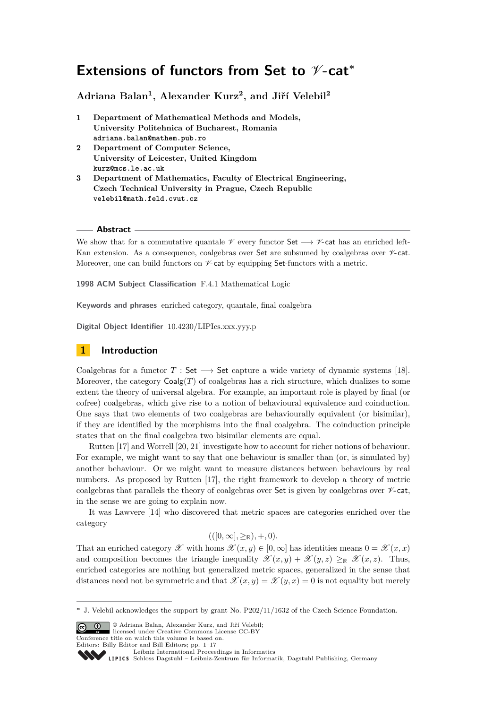# **Extensions of functors from Set to**  $\mathcal{V}$ **-cat<sup>∗</sup>**

**Adriana Balan<sup>1</sup> , Alexander Kurz<sup>2</sup> , and Jiří Velebil<sup>2</sup>**

- **1 Department of Mathematical Methods and Models, University Politehnica of Bucharest, Romania adriana.balan@mathem.pub.ro**
- **2 Department of Computer Science, University of Leicester, United Kingdom kurz@mcs.le.ac.uk**
- **3 Department of Mathematics, Faculty of Electrical Engineering, Czech Technical University in Prague, Czech Republic velebil@math.feld.cvut.cz**

## **Abstract**

We show that for a commutative quantale  $\mathscr V$  every functor Set  $\longrightarrow \mathscr V$ -cat has an enriched left-Kan extension. As a consequence, coalgebras over Set are subsumed by coalgebras over  $\nu$ -cat. Moreover, one can build functors on  $\nu$ -cat by equipping Set-functors with a metric.

**1998 ACM Subject Classification** F.4.1 Mathematical Logic

**Keywords and phrases** enriched category, quantale, final coalgebra

**Digital Object Identifier** [10.4230/LIPIcs.xxx.yyy.p](http://dx.doi.org/10.4230/LIPIcs.xxx.yyy.p)

# **1 Introduction**

Coalgebras for a functor  $T :$  Set  $\longrightarrow$  Set capture a wide variety of dynamic systems [\[18\]](#page-16-0). Moreover, the category  $Coalg(T)$  of coalgebras has a rich structure, which dualizes to some extent the theory of universal algebra. For example, an important role is played by final (or cofree) coalgebras, which give rise to a notion of behavioural equivalence and coinduction. One says that two elements of two coalgebras are behaviourally equivalent (or bisimilar), if they are identified by the morphisms into the final coalgebra. The coinduction principle states that on the final coalgebra two bisimilar elements are equal.

Rutten [\[17\]](#page-16-1) and Worrell [\[20,](#page-16-2) [21\]](#page-16-3) investigate how to account for richer notions of behaviour. For example, we might want to say that one behaviour is smaller than (or, is simulated by) another behaviour. Or we might want to measure distances between behaviours by real numbers. As proposed by Rutten [\[17\]](#page-16-1), the right framework to develop a theory of metric coalgebras that parallels the theory of coalgebras over Set is given by coalgebras over  $\n$  $\mathscr{V}$ -cat, in the sense we are going to explain now.

It was Lawvere [\[14\]](#page-16-4) who discovered that metric spaces are categories enriched over the category

$$
(([0,\infty],\geq_{\mathbb{R}}),+,0).
$$

That an enriched category  $\mathscr X$  with homs  $\mathscr X(x,y) \in [0,\infty]$  has identities means  $0 = \mathscr X(x,x)$ and composition becomes the triangle inequality  $\mathscr{X}(x, y) + \mathscr{X}(y, z) \geq_R \mathscr{X}(x, z)$ . Thus, enriched categories are nothing but generalized metric spaces, generalized in the sense that distances need not be symmetric and that  $\mathscr{X}(x, y) = \mathscr{X}(y, x) = 0$  is not equality but merely

© Adriana Balan, Alexander Kurz, and Jiří Velebil; licensed under Creative Commons License CC-BY Conference title on which this volume is based on.

**<sup>∗</sup>** J. Velebil acknowledges the support by grant No. P202/11/1632 of the Czech Science Foundation.

Editors: Billy Editor and Bill Editors; pp. 1[–17](#page-16-5)

[Leibniz International Proceedings in Informatics](http://www.dagstuhl.de/lipics/)

[Schloss Dagstuhl – Leibniz-Zentrum für Informatik, Dagstuhl Publishing, Germany](http://www.dagstuhl.de)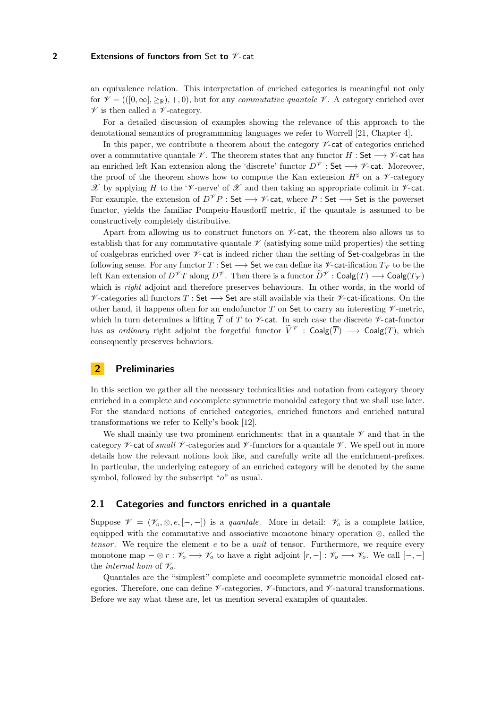an equivalence relation. This interpretation of enriched categories is meaningful not only for  $\mathcal{V} = ((0,\infty),\geq_R), +, 0)$ , but for any *commutative quantale*  $\mathcal{V}$ . A category enriched over  $\mathscr V$  is then called a  $\mathscr V$ -category.

For a detailed discussion of examples showing the relevance of this approach to the denotational semantics of programmming languages we refer to Worrell [\[21,](#page-16-3) Chapter 4].

In this paper, we contribute a theorem about the category  $\not\sim$ -cat of categories enriched over a commutative quantale  $\mathscr V$ . The theorem states that any functor  $H : \mathsf{Set} \longrightarrow \mathscr V$ -cat has an enriched left Kan extension along the 'discrete' functor  $D^{\mathscr{V}}$  : Set  $\longrightarrow$  V-cat. Moreover, the proof of the theorem shows how to compute the Kan extension  $H^{\sharp}$  on a  $\mathscr{V}$ -category X by applying *H* to the 'V-nerve' of X and then taking an appropriate colimit in V-cat. For example, the extension of  $D^{\mathscr{V}}P$  : Set  $\longrightarrow$   $\mathscr{V}$ -cat, where  $P$  : Set  $\longrightarrow$  Set is the powerset functor, yields the familiar Pompeiu-Hausdorff metric, if the quantale is assumed to be constructively completely distributive.

Apart from allowing us to construct functors on  $\mathscr{V}\text{-cat}$ , the theorem also allows us to establish that for any commutative quantale  $\mathscr V$  (satisfying some mild properties) the setting of coalgebras enriched over  $\nu$ -cat is indeed richer than the setting of Set-coalgebras in the following sense. For any functor  $T : \mathsf{Set} \longrightarrow \mathsf{Set}$  we can define its  $\mathscr{V}\text{-cat-ification } T_{\mathscr{V}}$  to be the left Kan extension of  $D^{\mathscr{V}}T$  along  $D^{\mathscr{V}}$ . Then there is a functor  $\widetilde{D}^{\mathscr{V}}$  : Coalg(*T*)  $\longrightarrow$  Coalg(*T<sub>V</sub>*) which is *right* adjoint and therefore preserves behaviours. In other words, in the world of  $\mathscr V$ -categories all functors  $T : \mathsf{Set} \longrightarrow \mathsf{Set}$  are still available via their  $\mathscr V$ -cat-ifications. On the other hand, it happens often for an endofunctor  $T$  on Set to carry an interesting  $\mathscr V$ -metric, which in turn determines a lifting  $\overline{T}$  of  $T$  to  $\not\sim$ -cat. In such case the discrete  $\not\sim$ -cat-functor has as *ordinary* right adjoint the forgetful functor  $\tilde{V}^{\mathscr{V}}$  : Coalg( $\overline{T}$ )  $\longrightarrow$  Coalg( $T$ ), which consequently preserves behaviors.

# **2 Preliminaries**

In this section we gather all the necessary technicalities and notation from category theory enriched in a complete and cocomplete symmetric monoidal category that we shall use later. For the standard notions of enriched categories, enriched functors and enriched natural transformations we refer to Kelly's book [\[12\]](#page-16-6).

We shall mainly use two prominent enrichments: that in a quantale  $\mathscr V$  and that in the category  $\nu$ -cat of *small*  $\nu$ -categories and  $\nu$ -functors for a quantale  $\nu$ . We spell out in more details how the relevant notions look like, and carefully write all the enrichment-prefixes. In particular, the underlying category of an enriched category will be denoted by the same symbol, followed by the subscript "*o*" as usual.

## **2.1 Categories and functors enriched in a quantale**

Suppose  $\mathscr{V} = (\mathscr{V}_o, \otimes, e, [-,-])$  is a *quantale*. More in detail:  $\mathscr{V}_o$  is a complete lattice, equipped with the commutative and associative monotone binary operation  $\otimes$ , called the *tensor*. We require the element *e* to be a *unit* of tensor. Furthermore, we require every monotone map  $-\otimes r : \mathscr{V}_o \longrightarrow \mathscr{V}_o$  to have a right adjoint  $[r, -] : \mathscr{V}_o \longrightarrow \mathscr{V}_o$ . We call  $[-, -]$ the *internal hom* of  $\mathcal{V}_o$ .

Quantales are the "simplest" complete and cocomplete symmetric monoidal closed categories. Therefore, one can define  $\mathscr V$ -categories,  $\mathscr V$ -functors, and  $\mathscr V$ -natural transformations. Before we say what these are, let us mention several examples of quantales.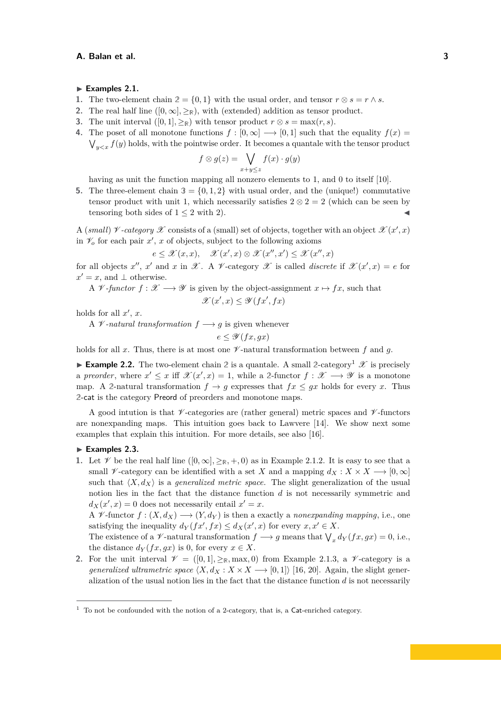#### Examples 2.1.

- **1.** The two-element chain  $2 = \{0, 1\}$  with the usual order, and tensor  $r \otimes s = r \wedge s$ .
- <span id="page-2-1"></span>**2.** The real half line  $([0, \infty], \geq_R)$ , with (extended) addition as tensor product.
- <span id="page-2-2"></span>**3.** The unit interval  $([0,1], \geq_R)$  with tensor product  $r \otimes s = \max(r, s)$ .
- <span id="page-2-3"></span>**4.** The poset of all monotone functions  $f : [0, \infty] \longrightarrow [0, 1]$  such that the equality  $f(x) =$  $\bigvee_{y\leq x} f(y)$  holds, with the pointwise order. It becomes a quantale with the tensor product

$$
f \otimes g(z) = \bigvee_{x+y \leq z} f(x) \cdot g(y)
$$

having as unit the function mapping all nonzero elements to 1, and 0 to itself [\[10\]](#page-16-7).

<span id="page-2-4"></span>**5.** The three-element chain  $3 = \{0, 1, 2\}$  with usual order, and the (unique!) commutative tensor product with unit 1, which necessarily satisfies  $2 \otimes 2 = 2$  (which can be seen by tensoring both sides of  $1 \leq 2$  with 2).

A (*small*)  $\nu$ -*category*  $\mathscr X$  consists of a (small) set of objects, together with an object  $\mathscr X(x',x)$ in  $\mathcal{V}_o$  for each pair  $x'$ ,  $x$  of objects, subject to the following axioms

$$
e \leq \mathscr{X}(x,x), \quad \mathscr{X}(x',x) \otimes \mathscr{X}(x'',x') \leq \mathscr{X}(x'',x)
$$

for all objects  $x''$ ,  $x'$  and  $x$  in  $\mathscr X$ . A  $\mathscr V$ -category  $\mathscr X$  is called *discrete* if  $\mathscr X(x',x) = e$  for  $x' = x$ , and  $\perp$  otherwise.

A  $\mathscr V$ -functor  $f : \mathscr X \longrightarrow \mathscr Y$  is given by the object-assignment  $x \mapsto fx$ , such that

 $\mathscr{X}(x',x) \leq \mathscr{Y}(fx',fx)$ 

holds for all  $x'$ ,  $x$ .

A  $\mathcal V$ -natural transformation  $f \longrightarrow g$  is given whenever

$$
e \leq \mathscr{Y}(fx,gx)
$$

holds for all x. Thus, there is at most one  $\mathscr V$ -natural transformation between f and g.

**Example 2.2.** The two-element chain 2 is a quantale. A small 2-category<sup>[1](#page-2-0)</sup>  $\mathscr X$  is precisely a *preorder*, where  $x' \leq x$  iff  $\mathscr{X}(x',x) = 1$ , while a 2-functor  $f : \mathscr{X} \longrightarrow \mathscr{Y}$  is a monotone map. A 2-natural transformation  $f \to g$  expresses that  $fx \leq gx$  holds for every *x*. Thus **2**-cat is the category Preord of preorders and monotone maps.

A good intution is that  $\mathscr V$ -categories are (rather general) metric spaces and  $\mathscr V$ -functors are nonexpanding maps. This intuition goes back to Lawvere [\[14\]](#page-16-4). We show next some examples that explain this intuition. For more details, see also [\[16\]](#page-16-8).

## <span id="page-2-5"></span>Examples 2.3.

**1.** Let  $\mathscr V$  be the real half line  $([0, \infty], \geq_R, +, 0)$  as in [Example 2.1.2.](#page-2-1) It is easy to see that a small  $\mathscr V$ -category can be identified with a set *X* and a mapping  $d_X : X \times X \longrightarrow [0, \infty]$ such that  $\langle X, d_X \rangle$  is a *generalized metric space*. The slight generalization of the usual notion lies in the fact that the distance function *d* is not necessarily symmetric and  $d_X(x', x) = 0$  does not necessarily entail  $x' = x$ .

A  $\mathcal V$ -functor  $f : (X, d_X) \longrightarrow (Y, d_Y)$  is then a exactly a *nonexpanding mapping*, i.e., one satisfying the inequality  $d_Y(fx', fx) \le d_X(x', x)$  for every  $x, x' \in X$ .

The existence of a  $\mathscr V$ -natural transformation  $f \longrightarrow g$  means that  $\bigvee_x d_Y(fx, gx) = 0$ , i.e., the distance  $d_Y(fx, gx)$  is 0, for every  $x \in X$ .

**2.** For the unit interval  $\mathcal{V} = ([0,1], \geq_R, \text{max}, 0)$  from [Example 2.1.3,](#page-2-2) a  $\mathcal{V}$ -category is a *generalized ultrametric space*  $\langle X, d_X : X \times X \longrightarrow [0,1] \rangle$  [\[16,](#page-16-8) [20\]](#page-16-2). Again, the slight generalization of the usual notion lies in the fact that the distance function *d* is not necessarily

<span id="page-2-0"></span> $1$  To not be confounded with the notion of a 2-category, that is, a Cat-enriched category.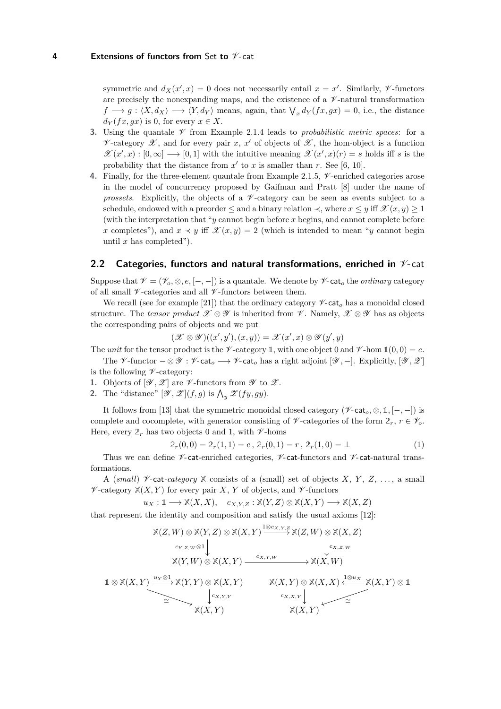symmetric and  $d_X(x', x) = 0$  does not necessarily entail  $x = x'$ . Similarly, *V*-functors are precisely the nonexpanding maps, and the existence of a  $\nu$ -natural transformation  $f \rightarrow g : \langle X, d_X \rangle \rightarrow \langle Y, d_Y \rangle$  means, again, that  $\bigvee_x d_Y(fx, gx) = 0$ , i.e., the distance  $d_Y(fx, gx)$  is 0, for every  $x \in X$ .

- **3.** Using the quantale  $\mathcal V$  from [Example 2.1.4](#page-2-3) leads to *probabilistic metric spaces*: for a  $\nu$ -category  $\mathscr X$ , and for every pair *x*, *x'* of objects of  $\mathscr X$ , the hom-object is a function  $\mathscr{X}(x',x): [0,\infty] \longrightarrow [0,1]$  with the intuitive meaning  $\mathscr{X}(x',x)(r) = s$  holds iff *s* is the probability that the distance from  $x'$  to  $x$  is smaller than  $r$ . See [\[6,](#page-16-9) [10\]](#page-16-7).
- **4.** Finally, for the three-element quantale from [Example 2.1.5,](#page-2-4)  $\mathcal{V}$ -enriched categories arose in the model of concurrency proposed by Gaifman and Pratt [\[8\]](#page-16-10) under the name of *prossets.* Explicitly, the objects of a  $\mathcal V$ -category can be seen as events subject to a schedule, endowed with a preorder  $\leq$  and a binary relation  $\prec$ , where  $x \leq y$  iff  $\mathscr{X}(x, y) \geq 1$ (with the interpretation that "*y* cannot begin before *x* begins, and cannot complete before *x* completes"), and  $x \prec y$  iff  $\mathscr{X}(x, y) = 2$  (which is intended to mean "*y* cannot begin until *x* has completed").

## <span id="page-3-0"></span>**2.2 Categories, functors and natural transformations, enriched in** V**-**cat

Suppose that  $\mathcal{V} = (\mathcal{V}_o, \otimes, e, [-, -])$  is a quantale. We denote by  $\mathcal{V}\text{-}\mathsf{cat}_o$  the *ordinary* category of all small  $\nu$ -categories and all  $\nu$ -functors between them.

We recall (see for example [\[21\]](#page-16-3)) that the ordinary category  $\mathscr{V}\text{-}\mathsf{cat}_o$  has a monoidal closed structure. The *tensor product*  $\mathscr{X} \otimes \mathscr{Y}$  is inherited from  $\mathscr{V}$ . Namely,  $\mathscr{X} \otimes \mathscr{Y}$  has as objects the corresponding pairs of objects and we put

$$
(\mathscr{X} \otimes \mathscr{Y})((x',y'),(x,y)) = \mathscr{X}(x',x) \otimes \mathscr{Y}(y',y)
$$

The *unit* for the tensor product is the  $\mathcal{V}$ -category 1, with one object 0 and  $\mathcal{V}$ -hom  $\mathbb{1}(0,0) = e$ .

The  $\mathscr V$ -functor  $-\otimes \mathscr Y : \mathscr V$ -cat<sub>o</sub>  $\longrightarrow \mathscr V$ -cat<sub>o</sub> has a right adjoint  $[\mathscr Y, -]$ . Explicitly,  $[\mathscr Y, \mathscr Z]$ is the following  $\nu$ -category:

- **1.** Objects of  $[\mathscr{Y}, \mathscr{Z}]$  are  $\mathscr{Y}$ -functors from  $\mathscr{Y}$  to  $\mathscr{Z}$ .
- **2.** The "distance"  $[\mathscr{Y}, \mathscr{Z}](f, g)$  is  $\bigwedge_{y} \mathscr{Z}(fy, gy)$ .

It follows from [\[13\]](#page-16-11) that the symmetric monoidal closed category ( $\mathscr{V}$ -cat<sub>*o*</sub>, ⊗, 1, [−, −]) is complete and cocomplete, with generator consisting of  $\mathcal V$ -categories of the form  $2_r$ ,  $r \in \mathcal V_o$ . Here, every  $2_r$  has two objects 0 and 1, with  $\nu$ -homs

<span id="page-3-1"></span>
$$
2_r(0,0) = 2_r(1,1) = e, \ 2_r(0,1) = r, \ 2_r(1,0) = \bot \tag{1}
$$

Thus we can define  $\not\!\!\!\!\!\!/$ -cat-enriched categories,  $\not\!\!\!\!\!/$ -cat-functors and  $\not\!\!\!\!\!/$ -cat-natural transformations.

A (*small*)  $\nu$ -cat-*category*  $\mathbb X$  consists of a (small) set of objects *X*, *Y*, *Z*, ..., a small  $\mathscr V$ -category  $\mathbb X(X, Y)$  for every pair *X*, *Y* of objects, and  $\mathscr V$ -functors

$$
u_X: \mathbb{1} \longrightarrow \mathbb{X}(X, X), \quad c_{X, Y, Z}: \mathbb{X}(Y, Z) \otimes \mathbb{X}(X, Y) \longrightarrow \mathbb{X}(X, Z)
$$

that represent the identity and composition and satisfy the usual axioms [\[12\]](#page-16-6):

$$
\mathbb{X}(Z,W) \otimes \mathbb{X}(Y,Z) \otimes \mathbb{X}(X,Y) \xrightarrow{\iota_{\infty,X,Y,Z}} \mathbb{X}(Z,W) \otimes \mathbb{X}(X,Z)
$$
\n
$$
\downarrow_{\infty,Z,W} \qquad \qquad \downarrow_{\infty,Z,W} \qquad \qquad \downarrow_{\infty,Z,W} \qquad \qquad \downarrow_{\infty,Z,W} \qquad \mathbb{X}(Y,W) \otimes \mathbb{X}(X,Y) \xrightarrow{\iota_{\infty,X,W}} \mathbb{X}(X,W)
$$
\n
$$
\mathbb{1} \otimes \mathbb{X}(X,Y) \xrightarrow{\iota_{\infty,Y} \mathbb{X}(X,Y)} \mathbb{X}(X,Y) \xrightarrow{\iota_{\infty,X,Y} \mathbb{X}(X,Y)} \mathbb{X}(X,Y) \xrightarrow{\iota_{\infty,X,Y} \mathbb{X}(X,Y)} \mathbb{X}(X,Y) \xrightarrow{\iota_{\infty,X,Y} \mathbb{X}(X,Y)} \mathbb{X}(X,Y)
$$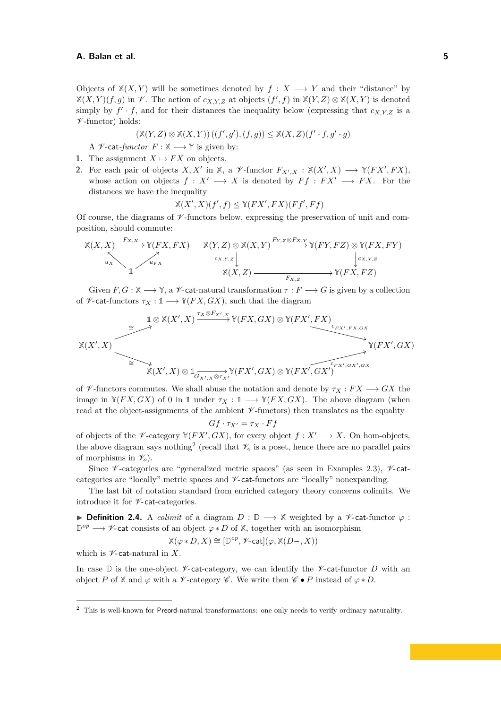Objects of  $\mathbb{X}(X, Y)$  will be sometimes denoted by  $f : X \longrightarrow Y$  and their "distance" by  $\mathbb{X}(X,Y)(f,g)$  in  $\mathcal{V}$ . The action of  $c_{X,Y,Z}$  at objects  $(f',f)$  in  $\mathbb{X}(Y,Z) \otimes \mathbb{X}(X,Y)$  is denoted simply by  $f' \cdot f$ , and for their distances the inequality below (expressing that  $c_{X,Y,Z}$  is a  $\nu$ -functor) holds:

$$
(\mathbb{X}(Y,Z) \otimes \mathbb{X}(X,Y))((f',g'),(f,g)) \leq \mathbb{X}(X,Z)(f' \cdot f,g' \cdot g)
$$

A  $\mathscr V$ -cat-functor  $F : \mathbb X \longrightarrow \mathbb Y$  is given by:

- **1.** The assignment  $X \mapsto FX$  on objects.
- **2.** For each pair of objects *X, X'* in  $\mathbb{X}$ , a  $\mathscr{V}$ -functor  $F_{X',X} : \mathbb{X}(X',X) \longrightarrow \mathbb{Y}(FX',FX)$ , whose action on objects  $f : X' \longrightarrow X$  is denoted by  $Ff : FX' \longrightarrow FX$ . For the distances we have the inequality

$$
\mathbb{X}(X', X)(f', f) \leq \mathbb{Y}(FX', FX)(Ff', Ff)
$$

Of course, the diagrams of  $\mathscr V$ -functors below, expressing the preservation of unit and composition, should commute:

$$
\mathbb{X}(X, X) \xrightarrow{F_{X, X}} \mathbb{Y}(FX, FX) \qquad \mathbb{X}(Y, Z) \otimes \mathbb{X}(X, Y) \xrightarrow{F_{Y, Z} \otimes F_{X, Y}} \mathbb{Y}(FY, FZ) \otimes \mathbb{Y}(FX, FY)
$$
\n
$$
\downarrow_{\text{cX}, \text{Y}, \text{Z}} \downarrow_{\text{cX}, \text{Y}, \text{Z}} \downarrow_{\text{cX}, \text{Y}, \text{Z}}
$$
\n
$$
\mathbb{X}(X, Z) \xrightarrow{F_{X, Z}} \mathbb{Y}(FX, FZ)
$$

Given  $F, G : \mathbb{X} \longrightarrow \mathbb{Y}$ , a V-cat-natural transformation  $\tau : F \longrightarrow G$  is given by a collection of  $\mathscr V$ -cat-functors  $\tau_X : \mathbb{1} \longrightarrow \mathbb{Y}(FX, GX)$ , such that the diagram

$$
\mathbb{X}(X', X) \xrightarrow{\cong} \mathbb{I} \otimes \mathbb{X}(X', X) \xrightarrow{\tau_X \otimes F_{X', X}} \mathbb{Y}(FX, GX) \otimes \mathbb{Y}(FX', FX)
$$
  
\n
$$
\cong \bigotimes_{\mathbb{X}(X', X)} \mathbb{X}(X', X) \otimes \mathbb{1}_{G_{X', X} \otimes \tau_{X'}} \mathbb{Y}(FX', GX) \otimes \mathbb{Y}(FX', GX')
$$
  
\n
$$
\mathbb{Y}(FX',GX)
$$

of  $\mathscr V$ -functors commutes. We shall abuse the notation and denote by  $\tau_X : FX \longrightarrow GX$  the image in  $\mathbb{Y}(FX, GX)$  of 0 in 1 under  $\tau_X : \mathbb{1} \longrightarrow \mathbb{Y}(FX, GX)$ . The above diagram (when read at the object-assignments of the ambient  $\mathscr V$ -functors) then translates as the equality

$$
Gf\cdot \tau_{X'}=\tau_X\cdot Ff
$$

of objects of the  $\mathscr V$ -category  $\mathbb Y(FX',GX)$ , for every object  $f: X' \longrightarrow X$ . On hom-objects, the above diagram says nothing<sup>[2](#page-4-0)</sup> (recall that  $\mathcal{V}_o$  is a poset, hence there are no parallel pairs of morphisms in  $\mathscr{V}_o$ ).

Since  $\not\!\!\!/\,\,$  -categories are "generalized metric spaces" (as seen in Examples [2.3\)](#page-2-5),  $\not\!\!\!/\,\,$  -catcategories are "locally" metric spaces and  $\nu$ -cat-functors are "locally" nonexpanding.

The last bit of notation standard from enriched category theory concerns colimits. We introduce it for  $\nu$ -cat-categories.

I **Definition 2.4.** A *colimit* of a diagram *D* : **D** −→ **X** weighted by a V-cat-functor *ϕ* : **D** *op* −→ V-cat consists of an object *ϕ* ∗ *D* of **X**, together with an isomorphism

$$
\mathbb{X}(\varphi*D,X)\cong[\mathbb{D}^{op},\mathscr{V}\text{-}\mathsf{cat}](\varphi,\mathbb{X}(D-,X))
$$

which is  $\nu$ -cat-natural in X.

In case  $\mathbb D$  is the one-object *V*-cat-category, we can identify the *V*-cat-functor *D* with an object *P* of  $X$  and  $\varphi$  with a  $\mathscr V$ -category  $\mathscr C$ . We write then  $\mathscr C \bullet P$  instead of  $\varphi * D$ .

<span id="page-4-0"></span><sup>&</sup>lt;sup>2</sup> This is well-known for Preord-natural transformations: one only needs to verify ordinary naturality.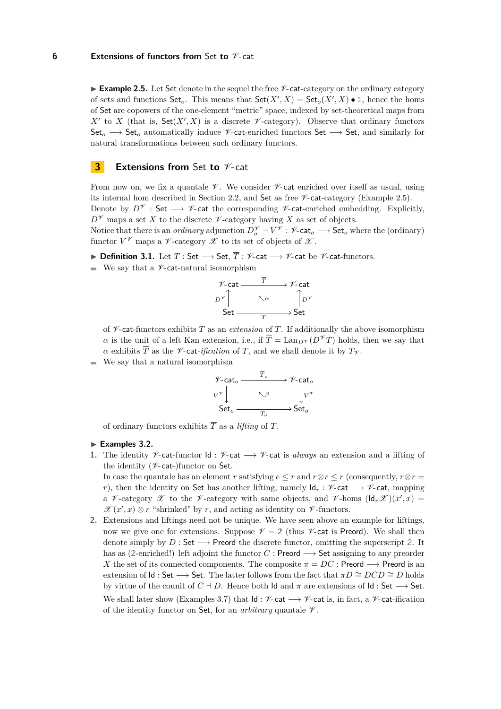<span id="page-5-0"></span>**Example 2.5.** Let Set denote in the sequel the free  $\mathscr{V}$ -cat-category on the ordinary category of sets and functions  $\mathsf{Set}_o$ . This means that  $\mathsf{Set}(X',X) = \mathsf{Set}_o(X',X) \bullet \mathbb{1}$ , hence the homs of Set are copowers of the one-element "metric" space, indexed by set-theoretical maps from  $X'$  to *X* (that is,  $Set(X', X)$  is a discrete  $\mathscr V$ -category). Observe that ordinary functors Set<sub>o</sub> → Set<sub>o</sub> automatically induce *V*-cat-enriched functors Set → Set, and similarly for natural transformations between such ordinary functors.

## **3 Extensions from** Set to  $\mathcal{V}$ -cat

From now on, we fix a quantale  $\mathcal V$ . We consider  $\mathcal V$ -cat enriched over itself as usual, using its internal hom described in Section [2.2,](#page-3-0) and Set as free  $\mathscr{V}\text{-cat-category}$  (Example [2.5\)](#page-5-0). Denote by  $D^{\mathscr{V}}$  : Set  $\longrightarrow$   $\mathscr{V}$ -cat the corresponding  $\mathscr{V}$ -cat-enriched embedding. Explicitly,  $D^{\mathscr{V}}$  maps a set *X* to the discrete  $\mathscr{V}$ -category having *X* as set of objects.

Notice that there is an *ordinary* adjunction  $D_o^{\mathscr{V}} \dashv V^{\mathscr{V}}: \mathscr{V}\text{-}\mathsf{cat}_o \longrightarrow \mathsf{Set}_o$  where the (ordinary) functor  $V^{\mathscr{V}}$  maps a  $\mathscr{V}\text{-category } \mathscr{X}$  to its set of objects of  $\mathscr{X}.$ 

**Definition 3.1.** Let  $T : Set \longrightarrow Set, \overline{T} : \mathscr{V}$ -cat  $\longrightarrow \mathscr{V}$ -cat be  $\mathscr{V}$ -cat-functors.

 $\blacksquare$  We say that a *V*-cat-natural isomorphism



of  $\not\!\!\!\!\!/\,$  cat-functors exhibits  $\overline{T}$  as an *extension* of  $T$ . If additionally the above isomorphism *α* is the unit of a left Kan extension, i.e., if  $\overline{T} = \text{Lan}_{D} \gamma(D^{\mathscr{V}} T)$  holds, then we say that *α* exhibits  $\overline{T}$  as the *V*-cat-*ification* of *T*, and we shall denote it by  $T_V$ .

We say that a natural isomorphism



of ordinary functors exhibits  $\overline{T}$  as a *lifting* of  $T$ .

## ► Examples 3.2.

1. The identity *V*-cat-functor Id : *V*-cat → *V*-cat is *always* an extension and a lifting of the identity ( $\nu$ -cat-)functor on Set.

In case the quantale has an element *r* satisfying  $e \leq r$  and  $r \otimes r \leq r$  (consequently,  $r \otimes r =$ *r*), then the identity on Set has another lifting, namely  $\mathsf{Id}_r : \mathscr{V}\text{-cat} \longrightarrow \mathscr{V}\text{-cat}$ , mapping a *V*-category *X* to the *V*-category with same objects, and *V*-homs  $(\mathsf{Id}_r \mathscr{X})(x',x) =$  $\mathscr{X}(x',x) \otimes r$  "shrinked" by *r*, and acting as identity on  $\mathscr{V}$ -functors.

<span id="page-5-1"></span>**2.** Extensions and liftings need not be unique. We have seen above an example for liftings, now we give one for extensions. Suppose  $\mathcal{V} = 2$  (thus  $\mathcal{V}$ -cat is Preord). We shall then denote simply by *D* : Set  $\rightarrow$  Preord the discrete functor, omitting the superscript 2. It has as (2-enriched!) left adjoint the functor  $C$  : Preord  $\longrightarrow$  Set assigning to any preorder *X* the set of its connected components. The composite  $\pi = DC$  : Preord  $\longrightarrow$  Preord is an extension of  $\mathsf{Id}$  : Set  $\longrightarrow$  Set. The latter follows from the fact that  $\pi D \cong DCD \cong D$  holds by virtue of the counit of  $C \dagger D$ . Hence both Id and  $\pi$  are extensions of Id : Set  $\longrightarrow$  Set. We shall later show (Examples [3.7\)](#page-10-0) that  $Id : \mathcal{V}$ -cat  $\longrightarrow \mathcal{V}$ -cat is, in fact, a  $\mathcal{V}$ -cat-ification of the identity functor on Set, for an *arbitrary* quantale  $\mathcal V$ .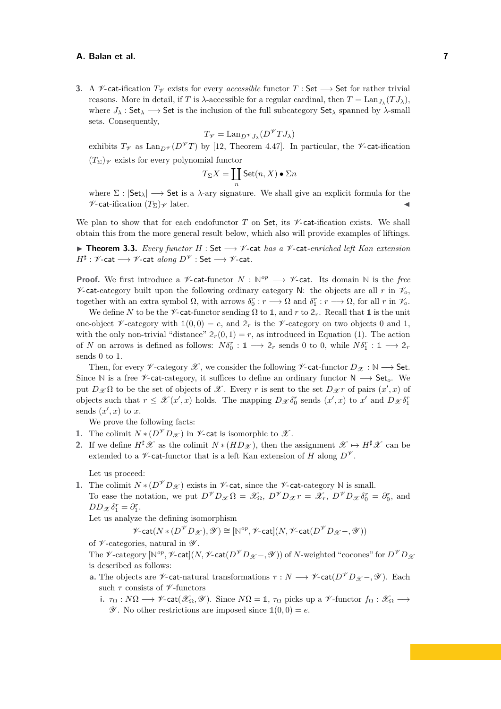**3.** A  $\mathcal V$ -cat-ification  $T_V$  exists for every *accessible* functor  $T :$  Set  $\longrightarrow$  Set for rather trivial reasons. More in detail, if *T* is  $\lambda$ -accessible for a regular cardinal, then  $T = \text{Lan}_{J_\lambda}(T J_\lambda)$ , where  $J_{\lambda}$ : Set<sub> $\lambda$ </sub>  $\rightarrow$  Set is the inclusion of the full subcategory Set<sub> $\lambda$ </sub> spanned by  $\lambda$ -small sets. Consequently,

$$
T_{\mathscr{V}} = \text{Lan}_{D^{\mathscr{V}}J_{\lambda}}(D^{\mathscr{V}}TJ_{\lambda})
$$

exhibits  $T_V$  as Lan<sub>*D*</sub> $\mathcal{V}(D^{\mathcal{V}}T)$  by [\[12,](#page-16-6) Theorem 4.47]. In particular, the  $\mathcal{V}$ -cat-ification  $(T_{\Sigma})_{\mathscr{V}}$  exists for every polynomial functor

$$
T_\Sigma X = \coprod_n \mathsf{Set}(n,X) \bullet \Sigma n
$$

where  $\Sigma : |Set_{\lambda}| \longrightarrow Set$  is a  $\lambda$ -ary signature. We shall give an explicit formula for the  $\mathscr{V}\text{-}\mathsf{cat}\text{-}\mathrm{ification}\ (T_{\Sigma})_{\mathscr{V}}\ \mathrm{later}.$ 

We plan to show that for each endofunctor  $T$  on Set, its  $\nu$ -cat-ification exists. We shall obtain this from the more general result below, which also will provide examples of liftings.

<span id="page-6-0"></span>I **Theorem 3.3.** *Every functor H* : Set −→ V*-*cat *has a* V*-*cat*-enriched left Kan extension*  $H^\sharp : \mathscr{V}\text{-}\mathsf{cat} \longrightarrow \mathscr{V}\text{-}\mathsf{cat} \textit{ along } D^\mathscr{V} : \mathsf{Set} \longrightarrow \mathscr{V}\text{-}\mathsf{cat}.$ 

**Proof.** We first introduce a  $\mathcal{V}$ -cat-functor  $N : \mathbb{N}^{op} \longrightarrow \mathcal{V}$ -cat. Its domain  $\mathbb{N}$  is the *free*  $\mathscr{V}\text{-cat-category built upon the following ordinary category N: the objects are all r in  $\mathscr{V}_o$ ,$ together with an extra symbol  $\Omega$ , with arrows  $\delta_0^r : r \longrightarrow \Omega$  and  $\delta_1^r : r \longrightarrow \Omega$ , for all *r* in  $\mathcal{V}_o$ .

We define N to be the  $\mathscr V$ -cat-functor sending  $\Omega$  to 1, and r to  $2_r$ . Recall that 1 is the unit one-object  $\nu$ -category with  $\mathbb{1}(0,0) = e$ , and  $\mathbb{2}_r$  is the  $\nu$ -category on two objects 0 and 1, with the only non-trivial "distance"  $2r(0,1) = r$ , as introduced in Equation [\(1\)](#page-3-1). The action of *N* on arrows is defined as follows:  $N\delta_0^r : \mathbb{1} \longrightarrow \mathbb{2}_r$  sends 0 to 0, while  $N\delta_1^r : \mathbb{1} \longrightarrow \mathbb{2}_r$ sends 0 to 1.

Then, for every  $\mathscr V$ -category  $\mathscr X$ , we consider the following  $\mathscr V$ -cat-functor  $D_{\mathscr X} : \mathbb N \longrightarrow$  Set. Since N is a free *V*-cat-category, it suffices to define an ordinary functor N → Set<sub>o</sub>. We put  $D_{\mathcal{X}}\Omega$  to be the set of objects of  $\mathcal{X}$ . Every *r* is sent to the set  $D_{\mathcal{X}}r$  of pairs  $(x',x)$  of objects such that  $r \leq \mathcal{X}(x',x)$  holds. The mapping  $D_{\mathcal{X}} \delta_0^r$  sends  $(x',x)$  to  $x'$  and  $D_{\mathcal{X}} \delta_1^r$ sends  $(x', x)$  to  $x$ .

We prove the following facts:

- **1.** The colimit  $N * (D^{\mathcal{V}} D_{\mathcal{X}})$  in  $\mathcal{V}$ -cat is isomorphic to  $\mathcal{X}$ .
- **2.** If we define  $H^{\sharp}\mathscr{X}$  as the colimit  $N*(HD_{\mathscr{X}})$ , then the assignment  $\mathscr{X} \mapsto H^{\sharp}\mathscr{X}$  can be extended to a  $\mathscr V$ -cat-functor that is a left Kan extension of *H* along  $D^{\mathscr V}$ .

Let us proceed:

**1.** The colimit  $N * (D^{\mathcal{V}} D_{\mathcal{X}})$  exists in  $\mathcal{V}$ -cat, since the  $\mathcal{V}$ -cat-category N is small. To ease the notation, we put  $D^{\mathscr{V}}D_{\mathscr{X}}\Omega = \mathscr{X}_{\Omega}, D^{\mathscr{V}}D_{\mathscr{X}}r = \mathscr{X}_{r}, D^{\mathscr{V}}D_{\mathscr{X}}\delta_{0}^{r} = \partial_{0}^{r}$ , and  $DD_{\mathscr{X}}\delta_1^r = \partial_1^r.$ 

Let us analyze the defining isomorphism

 $\mathscr V\text{-}\mathsf{cat}(N*(D^\mathscr V D_\mathscr X),\mathscr Y)\cong [\mathbb N^{op},\mathscr V\text{-}\mathsf{cat}](N,\mathscr V\text{-}\mathsf{cat}(D^\mathscr V D_\mathscr X-\mathscr Y))$ 

of  $\nu$ -categories, natural in  $\nu$ .

The  $\mathscr V$ -category  $[\mathbb N^{op},\mathscr V$ -cat $](N,\mathscr V\text{-cat}(D^\mathscr V D_{\mathscr X}\!-\!\mathscr ,\mathscr Y))$  of  $N$ -weighted "cocones" for  $D^\mathscr V D_{\mathscr X}$ is described as follows:

- **a.** The objects are  $\mathscr{V}\text{-}$ **cat**-natural transformations  $\tau : N \longrightarrow \mathscr{V}\text{-}cat(D^{\mathscr{V}}D_{\mathscr{X}} \mathscr{Y})$ . Each such *τ* consists of *γ*-functors
	- **i.**  $\tau_{\Omega}: N\Omega \longrightarrow \mathscr{V}$ -cat $(\mathscr{X}_{\Omega}, \mathscr{Y})$ . Since  $N\Omega = \mathbb{1}, \tau_{\Omega}$  picks up a  $\mathscr{V}$ -functor  $f_{\Omega}: \mathscr{X}_{\Omega} \longrightarrow$  $\mathscr Y$ . No other restrictions are imposed since  $\mathbb{1}(0,0) = e$ .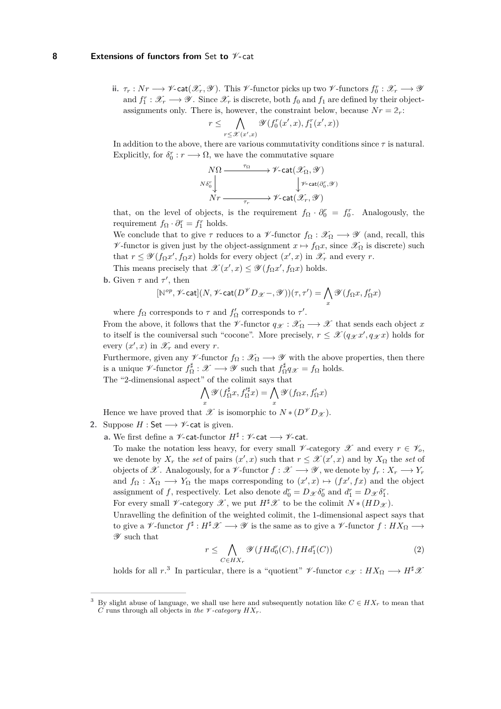#### **8 Extensions of functors from** Set **to** V**-**cat

**ii.**  $\tau_r: Nr\longrightarrow \mathscr{V}$ -cat $(\mathscr{X}_r,\mathscr{Y})$ . This  $\mathscr{V}$ -functor picks up two  $\mathscr{V}$ -functors  $f_0^r:\mathscr{X}_r\longrightarrow \mathscr{Y}$ and  $f_1^r: \mathcal{X}_r \longrightarrow \mathcal{Y}$ . Since  $\mathcal{X}_r$  is discrete, both  $f_0$  and  $f_1$  are defined by their objectassignments only. There is, however, the constraint below, because  $Nr = 2r$ :

$$
r \leq \bigwedge_{r \leq \mathcal{X}(x',x)} \mathcal{Y}(f_0^r(x',x), f_1^r(x',x))
$$

In addition to the above, there are various commutativity conditions since *τ* is natural. Explicitly, for  $\delta_0^r : r \longrightarrow \Omega$ , we have the commutative square

$$
\begin{array}{ccc}\nN\Omega & \xrightarrow{\tau_{\Omega}} & \mathscr{V}\text{-}\mathtt{cat}(\mathscr{X}_{\Omega},\mathscr{Y}) \\
\downarrow^{\mathscr{W}\text{-}\mathtt{cat}(\partial_{0}^{r},\mathscr{Y})} & \downarrow^{\mathscr{V}\text{-}\mathtt{cat}(\partial_{0}^{r},\mathscr{Y})} \\
Nr & \xrightarrow{\tau_{r}} & \mathscr{V}\text{-}\mathtt{cat}(\mathscr{X}_{r},\mathscr{Y})\n\end{array}
$$

that, on the level of objects, is the requirement  $f_{\Omega} \cdot \partial_{0}^{r} = f_{0}^{r}$ . Analogously, the requirement  $f_{\Omega} \cdot \partial_{1}^{r} = f_{1}^{r}$  holds.

We conclude that to give  $\tau$  reduces to a  $\mathscr V$ -functor  $f_{\Omega}: \mathscr K_{\Omega} \longrightarrow \mathscr Y$  (and, recall, this  $\mathscr V$ -functor is given just by the object-assignment  $x \mapsto f_{\Omega}x$ , since  $\mathscr X_{\Omega}$  is discrete) such that  $r \leq \mathscr{Y}(f_{\Omega}x', f_{\Omega}x)$  holds for every object  $(x', x)$  in  $\mathscr{X}_r$  and every *r*.

This means precisely that  $\mathscr{X}(x',x) \leq \mathscr{Y}(f_{\Omega}x',f_{\Omega}x)$  holds.

**b.** Given  $\tau$  and  $\tau'$ , then

$$
[\mathbb{N}^{op}, \mathscr{V}\text{-}\mathrm{cat}](N, \mathscr{V}\text{-}\mathrm{cat}(D^{\mathscr{V}}D_{\mathscr{X}}-, \mathscr{Y}))(\tau, \tau') = \bigwedge_{x} \mathscr{Y}(f_{\Omega}x, f_{\Omega}'x)
$$

where  $f_{\Omega}$  corresponds to  $\tau$  and  $f'_{\Omega}$  corresponds to  $\tau'$ .

From the above, it follows that the  $\mathscr{V}\text{-}\text{functor } q_{\mathscr{X}} : \mathscr{X}_{\Omega} \longrightarrow \mathscr{X}$  that sends each object x to itself is the couniversal such "cocone". More precisely,  $r \leq \mathcal{X}(q_{\mathcal{X}}x', q_{\mathcal{X}}x)$  holds for every  $(x', x)$  in  $\mathscr{X}_r$  and every *r*.

Furthermore, given any  $\mathscr V$ -functor  $f_{\Omega} : \mathscr X_{\Omega} \longrightarrow \mathscr Y$  with the above properties, then there is a unique  $\mathscr V$ -functor  $f_{\Omega}^{\sharp}: \mathscr X \longrightarrow \mathscr Y$  such that  $f_{\Omega}^{\sharp} q_{\mathscr X} = f_{\Omega}$  holds. The "2-dimensional aspect" of the colimit says that

$$
\bigwedge_x \mathscr{Y}(f_{\Omega}^{\sharp}x,f_{\Omega}^{\prime\sharp}x) = \bigwedge_x \mathscr{Y}(f_{\Omega}x,f_{\Omega}^{\prime}x)
$$

Hence we have proved that  $\mathscr X$  is isomorphic to  $N * (D^{\mathscr V} D_{\mathscr X})$ .

- <span id="page-7-2"></span>**2.** Suppose  $H : Set \longrightarrow V$ -cat is given.
	- **a.** We first define a  $\mathscr V$ -cat-functor  $H^\sharp : \mathscr V$ -cat  $\longrightarrow \mathscr V$ -cat.

To make the notation less heavy, for every small  $\mathscr V$ -category  $\mathscr X$  and every  $r \in \mathscr V_o$ . we denote by  $X_r$  the *set* of pairs  $(x', x)$  such that  $r \leq \mathcal{X}(x', x)$  and by  $X_\Omega$  the *set* of objects of  $\mathscr{X}$ . Analogously, for a  $\mathscr{V}$ -functor  $f : \mathscr{X} \longrightarrow \mathscr{Y}$ , we denote by  $f_r : X_r \longrightarrow Y_r$ and  $f_{\Omega}: X_{\Omega} \longrightarrow Y_{\Omega}$  the maps corresponding to  $(x', x) \mapsto (fx', fx)$  and the object assignment of *f*, respectively. Let also denote  $d_0^r = D_{\mathcal{X}} \delta_0^r$  and  $d_1^r = D_{\mathcal{X}} \delta_1^r$ .

For every small  $\mathscr V$ -category  $\mathscr X$ , we put  $H^{\sharp}\mathscr X$  to be the colimit  $N*(HD_{\mathscr X})$ .

Unravelling the definition of the weighted colimit, the 1-dimensional aspect says that to give a  $\mathscr V$ -functor  $f^\sharp : H^\sharp \mathscr X \longrightarrow \mathscr Y$  is the same as to give a  $\mathscr V$ -functor  $f : HX_\Omega \longrightarrow$ Y such that

<span id="page-7-1"></span>
$$
r \leq \bigwedge_{C \in HX_r} \mathscr{Y}(fHd_0^r(C), fHd_1^r(C))
$$
\n<sup>(2)</sup>

holds for all  $r^3$  $r^3$ . In particular, there is a "quotient"  $\mathscr V$ -functor  $c_{\mathscr X}: HX_{\Omega} \longrightarrow H^{\sharp} \mathscr X$ 

<span id="page-7-0"></span>By slight abuse of language, we shall use here and subsequently notation like  $C \in HX_r$  to mean that *C* runs through all objects in *the*  $\mathscr V$ *-category*  $HX_r$ .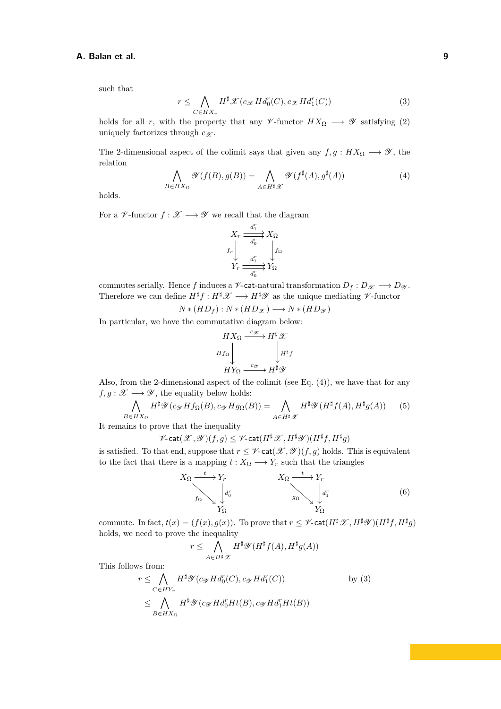<span id="page-8-1"></span>such that

$$
r \leq \bigwedge_{C \in HX_r} H^{\sharp} \mathcal{X}(c_{\mathcal{X}} H d_0^r(C), c_{\mathcal{X}} H d_1^r(C))
$$
\n(3)

holds for all *r*, with the property that any  $\mathscr V$ -functor  $HX_{\Omega} \longrightarrow \mathscr Y$  satisfying [\(2\)](#page-7-1) uniquely factorizes through  $c_{\mathscr{X}}$ .

<span id="page-8-0"></span>The 2-dimensional aspect of the colimit says that given any  $f, g : H X_{\Omega} \longrightarrow \mathscr{Y}$ , the relation

$$
\bigwedge_{B\in HX_{\Omega}} \mathscr{Y}(f(B),g(B)) = \bigwedge_{A\in H^{\sharp}\mathscr{X}} \mathscr{Y}(f^{\sharp}(A),g^{\sharp}(A))
$$
\n(4)

holds.

For a  $\mathscr V\operatorname{\mathsf{-functor}} f:\mathscr X\longrightarrow\mathscr Y$  we recall that the diagram

$$
X_r \xrightarrow{d_1^r} X_\Omega
$$
  

$$
f_r \downarrow \qquad f_\Omega
$$
  

$$
Y_r \xrightarrow{d_1^r} Y_\Omega
$$

commutes serially. Hence *f* induces a  $\mathscr V$ -cat-natural transformation  $D_f: D_{\mathscr X} \longrightarrow D_{\mathscr Y}$ . Therefore we can define  $H^{\sharp}f: H^{\sharp}\mathscr{X} \longrightarrow H^{\sharp}\mathscr{Y}$  as the unique mediating  $\mathscr{V}\text{-functor}$ 

$$
N*(HD_f): N*(HD_{\mathscr{X}}) \longrightarrow N*(HD_{\mathscr{Y}})
$$

In particular, we have the commutative diagram below:

<span id="page-8-3"></span>
$$
HX_{\Omega} \xrightarrow{c_{\mathscr{X}}} H^{\sharp} \mathscr{X}
$$
  

$$
Hf_{\Omega} \downarrow H^{*}f
$$
  

$$
HY_{\Omega} \xrightarrow{c_{\mathscr{Y}}} H^{\sharp} \mathscr{Y}
$$

Also, from the 2-dimensional aspect of the colimit (see Eq. [\(4\)](#page-8-0)), we have that for any  $f, g: \mathscr{X} \longrightarrow \mathscr{Y}$ , the equality below holds:

$$
\bigwedge_{B\in HX_{\Omega}} H^{\sharp}\mathscr{Y}(c_{\mathscr{Y}}Hf_{\Omega}(B),c_{\mathscr{Y}}Hg_{\Omega}(B)) = \bigwedge_{A\in H^{\sharp}\mathscr{X}} H^{\sharp}\mathscr{Y}(H^{\sharp}f(A),H^{\sharp}g(A))
$$
(5)

It remains to prove that the inequality

$$
\mathscr{V}\text{-}\mathrm{cat}(\mathscr{X},\mathscr{Y})(f,g)\leq \mathscr{V}\text{-}\mathrm{cat}(H^\sharp\mathscr{X},H^\sharp\mathscr{Y})(H^\sharp f,H^\sharp g)
$$

is satisfied. To that end, suppose that  $r \leq \mathscr{V}\text{-cat}(\mathscr{X}, \mathscr{Y})(f, g)$  holds. This is equivalent to the fact that there is a mapping  $t: X_{\Omega} \longrightarrow Y_r$  such that the triangles

<span id="page-8-2"></span>
$$
X_{\Omega} \xrightarrow{t} Y_{r} \qquad X_{\Omega} \xrightarrow{t} Y_{r} \qquad (6)
$$

$$
Y_{\Omega} \qquad Y_{\Omega} \qquad X_{\Omega} \qquad (6)
$$

commute. In fact,  $t(x) = (f(x), g(x))$ . To prove that  $r \leq \mathscr{V}$ -cat $(H^{\sharp} \mathscr{X}, H^{\sharp} \mathscr{Y}) (H^{\sharp} f, H^{\sharp} g)$ holds, we need to prove the inequality

$$
r\leq\bigwedge_{A\in H^\sharp\mathscr{X}}H^\sharp\mathscr{Y}(H^\sharp f(A),H^\sharp g(A))
$$

This follows from:

$$
r \leq \bigwedge_{C \in HY_r} H^{\sharp} \mathscr{Y}(c_{\mathscr{Y}} H d_0^r(C), c_{\mathscr{Y}} H d_1^r(C)) \qquad \text{by (3)}
$$
  

$$
\leq \bigwedge_{B \in HX_{\Omega}} H^{\sharp} \mathscr{Y}(c_{\mathscr{Y}} H d_0^r H t(B), c_{\mathscr{Y}} H d_1^r H t(B))
$$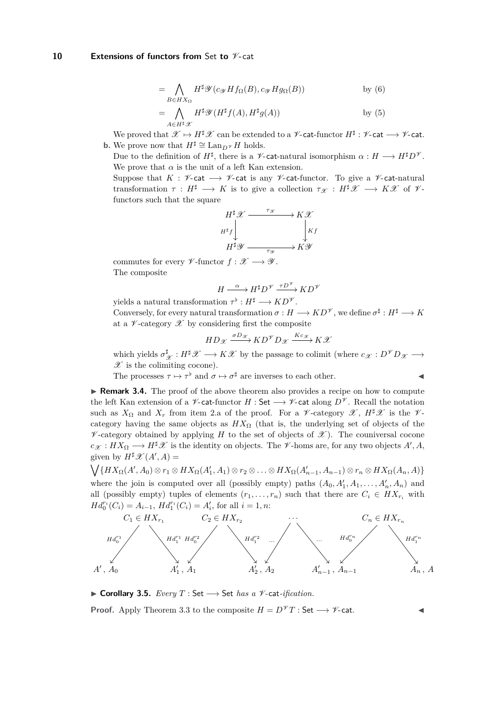#### **10** Extensions of functors from Set to  $\mathcal{V}$ -cat

$$
= \bigwedge_{B \in HX_{\Omega}} H^{\sharp} \mathscr{Y}(c_{\mathscr{Y}} H f_{\Omega}(B), c_{\mathscr{Y}} H g_{\Omega}(B)) \qquad \text{by (6)}
$$

$$
= \bigwedge_{A\in H^{\sharp}\mathscr{X}} H^{\sharp}\mathscr{Y}(H^{\sharp}f(A), H^{\sharp}g(A)) \qquad \text{by (5)}
$$

We proved that  $\mathscr{X} \mapsto H^{\sharp}\mathscr{X}$  can be extended to a  $\mathscr{V}\text{-}\mathsf{cat\text{-}}functor \ H^{\sharp}: \mathscr{V}\text{-}\mathsf{cat} \longrightarrow \mathscr{V}\text{-}\mathsf{cat}.$ **b.** We prove now that  $H^{\sharp} \cong \text{Lan}_{D^{\mathscr{V}}} H$  holds.

Due to the definition of  $H^{\sharp}$ , there is a  $\mathscr{V}\text{-}$ **cat**-natural isomorphism  $\alpha: H \longrightarrow H^{\sharp}D^{\mathscr{V}}$ . We prove that  $\alpha$  is the unit of a left Kan extension.

Suppose that  $K : \mathscr{V}\text{-cat} \longrightarrow \mathscr{V}\text{-cat}$  is any  $\mathscr{V}\text{-cat-functor}$ . To give a  $\mathscr{V}\text{-cat-natural}$ transformation  $\tau : H^{\sharp} \longrightarrow K$  is to give a collection  $\tau_{\mathscr{X}} : H^{\sharp} \mathscr{X} \longrightarrow K \mathscr{X}$  of  $\mathscr{Y}$ functors such that the square

$$
H^{\sharp} \mathscr{X} \xrightarrow{\tau_{\mathscr{X}}} K \mathscr{X}
$$
  

$$
H^{\sharp} \mathscr{Y} \xrightarrow{\tau_{\mathscr{Y}}} K \mathscr{Y}
$$
  

$$
H^{\sharp} \mathscr{Y} \xrightarrow{\tau_{\mathscr{Y}}} K \mathscr{Y}
$$

commutes for every  $\mathscr V$ -functor  $f : \mathscr X \longrightarrow \mathscr Y$ . The composite

$$
H \xrightarrow{\alpha} H^{\sharp} D^{\mathscr{V}} \xrightarrow{\tau D^{\mathscr{V}}} KD^{\mathscr{V}}
$$

yields a natural transformation  $\tau^{\flat}: H^{\sharp} \longrightarrow KD^{\mathscr{V}}$ .

Conversely, for every natural transformation  $\sigma : H \longrightarrow KD^{\mathscr{V}}$ , we define  $\sigma^{\sharp} : H^{\sharp} \longrightarrow K$ at a  $\nu$ -category  $\mathscr X$  by considering first the composite

$$
HD_{\mathscr{X}} \xrightarrow{\sigma D_{\mathscr{X}}} KD^{\mathscr{V}} D_{\mathscr{X}} \xrightarrow{Kc_{\mathscr{X}}} K\mathscr{X}
$$

which yields  $\sigma_{\mathscr{X}}^{\sharp}: H^{\sharp}\mathscr{X} \longrightarrow K\mathscr{X}$  by the passage to colimit (where  $c_{\mathscr{X}}: D^{\mathscr{V}}D_{\mathscr{X}} \longrightarrow$  $\mathscr X$  is the colimiting cocone).

The processes  $\tau \mapsto \tau^{\flat}$  and  $\sigma \mapsto \sigma^{\sharp}$  are inverses to each other.

▶ **Remark 3.4.** The proof of the above theorem also provides a recipe on how to compute the left Kan extension of a  $\mathscr V$ -cat-functor *H* : Set  $\longrightarrow \mathscr V$ -cat along  $D^{\mathscr V}$ . Recall the notation such as  $X_{\Omega}$  and  $X_r$  from item [2.a](#page-7-2) of the proof. For a  $\mathscr V$ -category  $\mathscr X$ ,  $H^{\sharp}\mathscr X$  is the  $\mathscr V$ category having the same objects as  $H X_{\Omega}$  (that is, the underlying set of objects of the  $\nu$ -category obtained by applying *H* to the set of objects of  $\mathscr{X}$ ). The couniversal cocone  $c_{\mathscr{X}}: HX_{\Omega} \longrightarrow H^{\sharp}\mathscr{X}$  is the identity on objects. The  $\mathscr{V}$ -homs are, for any two objects  $A', A$ , given by  $H^{\sharp} \mathscr{X}(A', A) =$ 

 $\bigvee \{HX_\Omega(A',A_0)\otimes r_1\otimes HX_\Omega(A'_1,A_1)\otimes r_2\otimes \ldots \otimes HX_\Omega(A'_{n-1},A_{n-1})\otimes r_n\otimes HX_\Omega(A_n,A)\}\$ where the join is computed over all (possibly empty) paths  $(A_0, A'_1, A_1, \ldots, A'_n, A_n)$  and all (possibly empty) tuples of elements  $(r_1, \ldots, r_n)$  such that there are  $C_i \in HX_{r_i}$  with  $H d_0^{r_i}(C_i) = A_{i-1}, H d_1^{r_i}(C_i) = A'_i$ , for all  $i = 1, n$ :



<span id="page-9-0"></span>I **Corollary 3.5.** *Every T* : Set −→ Set *has a* V*-*cat*-ification.*

**Proof.** Apply Theorem [3.3](#page-6-0) to the composite  $H = D^{\mathcal{V}}T$ : Set  $\longrightarrow \mathcal{V}$ -cat.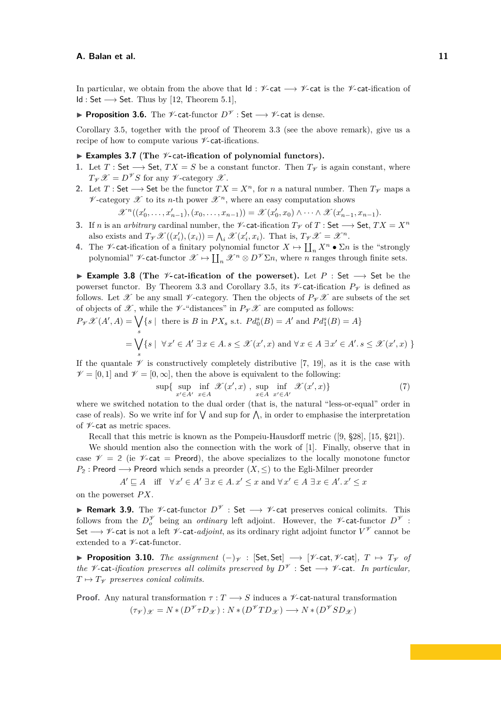In particular, we obtain from the above that  $\mathsf{Id} : \mathscr{V}\text{-}\mathsf{cat} \longrightarrow \mathscr{V}\text{-}\mathsf{cat}$  is the  $\mathscr{V}\text{-}\mathsf{cat}$ -ification of  $Id: Set \longrightarrow Set.$  Thus by [\[12,](#page-16-6) Theorem 5.1],

**► Proposition 3.6.** The *V*-cat-functor  $D^{\mathcal{V}}$  : Set  $\longrightarrow$  *V*-cat is dense.

Corollary [3.5,](#page-9-0) together with the proof of Theorem [3.3](#page-6-0) (see the above remark), give us a recipe of how to compute various  $\nu$ -cat-ifications.

## <span id="page-10-0"></span>▶ **Examples 3.7** (The *<sup>* $V$ *</sup>*-cat-ification of polynomial functors).

- **1.** Let  $T : \mathsf{Set} \longrightarrow \mathsf{Set}$ ,  $TX = S$  be a constant functor. Then  $T_V$  is again constant, where  $T_{\mathscr{V}}\mathscr{X}=D^{\mathscr{V}}S$  for any  $\mathscr{V}$ -category  $\mathscr{X}$ .
- 2. Let *T* : Set  $\longrightarrow$  Set be the functor  $TX = X^n$ , for *n* a natural number. Then  $T_V$  maps a  $\mathscr V$ -category  $\mathscr X$  to its *n*-th power  $\mathscr X^n$ , where an easy computation shows

 $\mathscr{X}^n((x'_0, \ldots, x'_{n-1}), (x_0, \ldots, x_{n-1})) = \mathscr{X}(x'_0, x_0) \wedge \cdots \wedge \mathscr{X}(x'_{n-1}, x_{n-1}).$ 

- **3.** If *n* is an *arbitrary* cardinal number, the  $\mathscr V$ -cat-ification  $T_{\mathscr V}$  of  $T$  : Set  $\longrightarrow$  Set,  $TX = X^n$ also exists and  $T_{\mathscr{V}}\mathscr{X}((x'_{i}), (x_{i})) = \bigwedge_{i} \mathscr{X}(x'_{i}, x_{i})$ . That is,  $T_{\mathscr{V}}\mathscr{X} = \mathscr{X}^{n}$ .
- **4.** The *V*-cat-ification of a finitary polynomial functor  $X \mapsto \coprod_n X^n \bullet \Sigma n$  is the "strongly polynomial"  $\mathscr{V}\text{-cat-functor }\mathscr{X}\mapsto \coprod_n \mathscr{X}^n\otimes D^{\mathscr{V}}\Sigma n$ , where *n* ranges through finite sets.

I **Example 3.8** (**The** V**-**cat**-ification of the powerset).** Let *P* : Set −→ Set be the powerset functor. By Theorem [3.3](#page-6-0) and Corollary [3.5,](#page-9-0) its  $\not\sim$  cat-ification  $P_{\mathscr{V}}$  is defined as follows. Let X be any small  $\nu$ -category. Then the objects of  $P_{\nu} \mathscr{X}$  are subsets of the set of objects of  $\mathscr X$ , while the  $\mathscr V$ -"distances" in  $P_{\mathscr V}\mathscr X$  are computed as follows:

$$
P_{\mathcal{V}}\mathcal{X}(A', A) = \bigvee_{s} \{s \mid \text{ there is } B \text{ in } PX_s \text{ s.t. } P d_0^s(B) = A' \text{ and } P d_1^s(B) = A\}
$$

$$
= \bigvee_{s} \{s \mid \forall x' \in A' \exists x \in A. s \le \mathcal{X}(x', x) \text{ and } \forall x \in A \exists x' \in A'. s \le \mathcal{X}(x', x) \}
$$

If the quantale  $\mathscr V$  is constructively completely distributive [\[7,](#page-16-12) [19\]](#page-16-13), as it is the case with  $\mathcal{V} = [0, 1]$  and  $\mathcal{V} = [0, \infty]$ , then the above is equivalent to the following:

$$
\sup \{ \sup_{x' \in A'} \inf_{x \in A} \mathcal{X}(x', x) , \sup_{x \in A} \inf_{x' \in A'} \mathcal{X}(x', x) \} \tag{7}
$$

where we switched notation to the dual order (that is, the natural "less-or-equal" order in case of reals). So we write inf for  $\bigvee$  and sup for  $\bigwedge$ , in order to emphasise the interpretation of  $\nu$ -cat as metric spaces.

Recall that this metric is known as the Pompeiu-Hausdorff metric ([\[9,](#page-16-14) §28], [\[15,](#page-16-15) §21]).

We should mention also the connection with the work of [\[1\]](#page-16-16). Finally, observe that in case  $\mathscr{V} = 2$  (ie  $\mathscr{V}$ -cat = Preord), the above specializes to the locally monotone functor  $P_2$ : Preord  $\longrightarrow$  Preord which sends a preorder  $(X, \leq)$  to the Egli-Milner preorder

 $A' \sqsubseteq A$  iff  $\forall x' \in A' \exists x \in A \ldotp x' \leq x$  and  $\forall x' \in A \exists x \in A' \ldotp x' \leq x$ 

on the powerset *P X*.

<span id="page-10-1"></span>**Remark 3.9.** The *V*-cat-functor  $D^{\mathcal{V}}$  : Set  $\longrightarrow$  *V*-cat preserves conical colimits. This follows from the  $D_0^{\mathscr{V}}$  being an *ordinary* left adjoint. However, the  $\mathscr{V}\text{-cat-functor } D^{\mathscr{V}}$ : Set −→ V-cat is not a left V*-*cat*-adjoint*, as its ordinary right adjoint functor *V* <sup>V</sup> cannot be extended to a  $\nu$ -cat-functor.

<span id="page-10-2"></span>**► Proposition 3.10.** *The assignment*  $(-)_{\gamma}$  : [Set, Set]  $\longrightarrow$  [ $\gamma$ -cat,  $\gamma$ -cat]*,*  $T \mapsto T_{\gamma}$  *of the*  $\mathscr V$ -cat-ification preserves all colimits preserved by  $D^{\mathscr V}$  : Set  $\longrightarrow$  V-cat. In particular,  $T \mapsto T_{\mathcal{V}}$  preserves conical colimits.

**Proof.** Any natural transformation  $\tau: T \longrightarrow S$  induces a  $\mathscr V$ -cat-natural transformation  $(\tau \gamma)_{\mathscr{X}} = N * (D^{\mathscr{V}} \tau D_{\mathscr{X}}) : N * (D^{\mathscr{V}} TD_{\mathscr{X}}) \longrightarrow N * (D^{\mathscr{V}} SD_{\mathscr{X}})$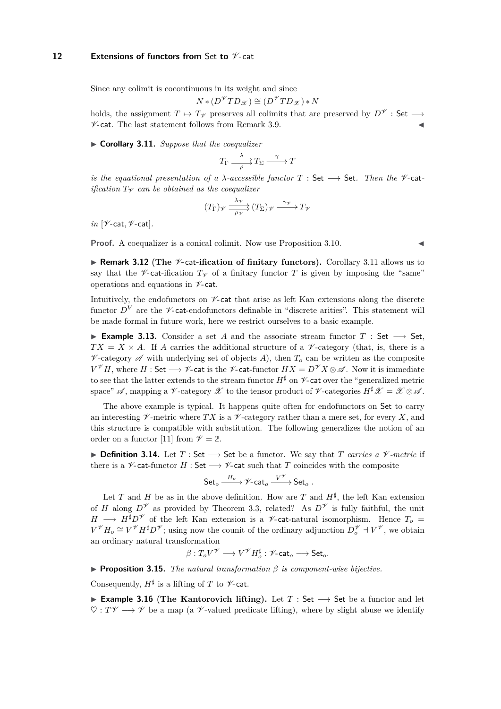## **12** Extensions of functors from Set to  $\mathcal{V}$ -cat

Since any colimit is cocontinuous in its weight and since

$$
N*(D^{\mathscr{V}}TD_{\mathscr{X}})\cong (D^{\mathscr{V}}TD_{\mathscr{X}})*N
$$

holds, the assignment  $T \mapsto T_{\mathscr{V}}$  preserves all colimits that are preserved by  $D^{\mathscr{V}}$  : Set −  $\nu$ -cat. The last statement follows from Remark [3.9.](#page-10-1)

<span id="page-11-0"></span>▶ **Corollary 3.11.** *Suppose that the coequalizer* 

$$
T_{\Gamma} \xrightarrow{\lambda} T_{\Sigma} \xrightarrow{\gamma} T
$$

*is the equational presentation of a*  $\lambda$ -accessible functor  $T : Set \longrightarrow Set$ . Then the  $\mathcal V$ -cat*ification*  $T_V$  *can be obtained as the coequalizer* 

$$
(T_{\Gamma})_{\mathscr{V}} \xrightarrow[\rho_{\mathscr{V}}]{\lambda_{\mathscr{V}}} (T_{\Sigma})_{\mathscr{V}} \xrightarrow{\gamma_{\mathscr{V}}} T_{\mathscr{V}}
$$

*in* [V*-*cat*,* V*-*cat]*.*

**Proof.** A coequalizer is a conical colimit. Now use Proposition [3.10.](#page-10-2)

▶ **Remark 3.12** (The  $\mathcal{V}$ -cat-ification of finitary functors). Corollary [3.11](#page-11-0) allows us to say that the  $\mathscr V$ -cat-ification  $T_{\mathscr V}$  of a finitary functor T is given by imposing the "same" operations and equations in  $\nu$ -cat.

Intuitively, the endofunctors on  $\nu$ -cat that arise as left Kan extensions along the discrete functor  $D^V$  are the  $\nu$ -cat-endofunctors definable in "discrete arities". This statement will be made formal in future work, here we restrict ourselves to a basic example.

<span id="page-11-1"></span>**Example 3.13.** Consider a set *A* and the associate stream functor *T* : Set → Set,  $TX = X \times A$ . If *A* carries the additional structure of a  $\mathcal V$ -category (that, is, there is a  $\mathscr V$ -category  $\mathscr A$  with underlying set of objects *A*), then  $T_o$  can be written as the composite *V*<sup>γ</sup> $H$ , where  $H$  : Set →  $V$ -cat is the  $V$ -cat-functor  $HX = D^{\mathscr{V}}X \otimes \mathscr{A}$ . Now it is immediate to see that the latter extends to the stream functor  $H^{\sharp}$  on  $\mathscr V$ -cat over the "generalized metric space"  $\mathscr A$ , mapping a  $\mathscr V$ -category  $\mathscr X$  to the tensor product of  $\mathscr V$ -categories  $H^{\sharp}\mathscr X = \mathscr X \otimes \mathscr A$ .

The above example is typical. It happens quite often for endofunctors on Set to carry an interesting  $\mathscr V$ -metric where  $TX$  is a  $\mathscr V$ -category rather than a mere set, for every X, and this structure is compatible with substitution. The following generalizes the notion of an order on a functor [\[11\]](#page-16-17) from  $\mathcal{V} = 2$ .

**▶ Definition 3.14.** Let  $T$ : Set  $\rightarrow$  Set be a functor. We say that  $T$  *carries a*  $\mathcal V$ *-metric* if there is a  $\mathscr V$ -cat-functor *H* : Set  $\longrightarrow \mathscr V$ -cat such that *T* coincides with the composite

Set<sub>o</sub> 
$$
\xrightarrow{H_o} \mathcal{V}
$$
-cat<sub>o</sub>  $\xrightarrow{V^{\mathcal{V}}}$ Set<sub>o</sub>.

Let *T* and *H* be as in the above definition. How are *T* and  $H^{\sharp}$ , the left Kan extension of *H* along  $D^{\mathscr{V}}$  as provided by Theorem [3.3,](#page-6-0) related? As  $D^{\mathscr{V}}$  is fully faithful, the unit *H* →  $H^{\sharp}D^{\mathscr{V}}$  of the left Kan extension is a  $\mathscr{V}$ -cat-natural isomorphism. Hence  $T_o$  =  $V^{\mathscr{V}}H_o \cong V^{\mathscr{V}}H^{\sharp}D^{\mathscr{V}}$ ; using now the counit of the ordinary adjunction  $D_o^{\mathscr{V}} \dashv V^{\mathscr{V}}$ , we obtain an ordinary natural transformation

$$
\beta:T_oV^{\mathscr{V}}\longrightarrow V^{\mathscr{V}}H_o^\sharp:\mathscr{V}\text{-}\mathrm{cat}_o\longrightarrow \mathsf{Set}_o.
$$

I **Proposition 3.15.** *The natural transformation β is component-wise bijective.*

Consequently,  $H^{\sharp}$  is a lifting of  $T$  to  $\not\!\mathscr{V}\text{-}\mathsf{cat}.$ 

**Example 3.16** (The Kantorovich lifting). Let *T* : Set → Set be a functor and let  $\heartsuit : T\mathscr{V} \longrightarrow \mathscr{V}$  be a map (a  $\mathscr{V}$ -valued predicate lifting), where by slight abuse we identify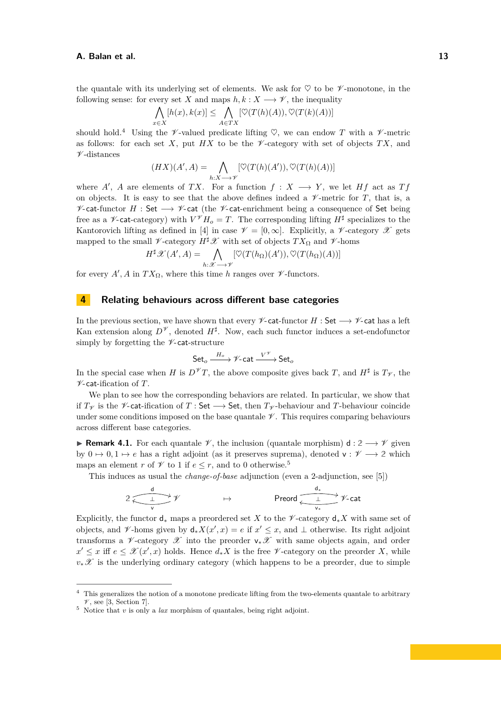the quantale with its underlying set of elements. We ask for  $\heartsuit$  to be  $\mathscr V$ -monotone, in the following sense: for every set X and maps  $h, k: X \longrightarrow Y$ , the inequality

$$
\bigwedge_{x \in X} [h(x), k(x)] \le \bigwedge_{A \in TX} [\heartsuit(T(h)(A)), \heartsuit(T(k)(A))]
$$

should hold.<sup>[4](#page-12-0)</sup> Using the  $\mathscr V$ -valued predicate lifting  $\heartsuit$ , we can endow *T* with a  $\mathscr V$ -metric as follows: for each set X, put  $H X$  to be the  $\mathscr V$ -category with set of objects  $TX$ , and  $\nu$ -distances

$$
(HX)(A', A) = \bigwedge_{h:X \to \mathscr{V}} [\heartsuit(T(h)(A')), \heartsuit(T(h)(A))]
$$

where  $A'$ ,  $A$  are elements of  $TX$ . For a function  $f: X \longrightarrow Y$ , we let  $Hf$  act as  $Tf$ on objects. It is easy to see that the above defines indeed a  $\mathscr V$ -metric for *T*, that is, a  $\mathscr V$ -cat-functor *H* : Set  $\longrightarrow \mathscr V$ -cat (the  $\mathscr V$ -cat-enrichment being a consequence of Set being free as a  $\mathscr V$ -cat-category) with  $V^{\mathscr V}H_o = T$ . The corresponding lifting  $H^{\sharp}$  specializes to the Kantorovich lifting as defined in [\[4\]](#page-16-18) in case  $\mathcal{V} = [0, \infty]$ . Explicitly, a  $\mathcal{V}$ -category  $\mathcal{X}$  gets mapped to the small  $\mathscr V$ -category  $H^{\sharp}\mathscr X$  with set of objects  $TX_{\Omega}$  and  $\mathscr V$ -homs

$$
H^{\sharp}\mathscr{X}(A',A) = \bigwedge_{h:\mathscr{X}\longrightarrow\mathscr{V}}[\heartsuit(T(h_{\Omega})(A')), \heartsuit(T(h_{\Omega})(A))]
$$

for every  $A'$ ,  $A$  in  $TX_{\Omega}$ , where this time  $h$  ranges over  $\mathscr V$ -functors.

## **4 Relating behaviours across different base categories**

In the previous section, we have shown that every  $\mathscr{V}\text{-cat-functor } H$  : Set  $\longrightarrow \mathscr{V}\text{-cat}$  has a left Kan extension along  $D^{\mathscr{V}}$ , denoted  $H^{\sharp}$ . Now, each such functor induces a set-endofunctor simply by forgetting the  $\nu$ -cat-structure

$$
\mathsf{Set}_o \xrightarrow{H_o} \mathscr{V}\text{-}\mathsf{cat} \xrightarrow{V^{\mathscr{V}}} \mathsf{Set}_o
$$

In the special case when *H* is  $D^{\mathscr{V}}T$ , the above composite gives back *T*, and *H*<sup> $\sharp$ </sup> is  $T_{\mathscr{V}}$ , the V-cat-ification of *T*.

We plan to see how the corresponding behaviors are related. In particular, we show that if  $T<sup>γ</sup>$  is the  $\mathscr V$ -cat-ification of *T* : Set  $\longrightarrow$  Set, then  $T<sup>γ</sup>$ -behaviour and *T*-behaviour coincide under some conditions imposed on the base quantale  $\mathscr V$ . This requires comparing behaviours across different base categories.

**Remark 4.1.** For each quantale  $\mathcal{V}$ , the inclusion (quantale morphism) d :  $2 \rightarrow \mathcal{V}$  given by  $0 \mapsto 0, 1 \mapsto e$  has a right adjoint (as it preserves suprema), denoted  $v : \mathscr{V} \longrightarrow 2$  which maps an element *r* of  $\mathcal V$  to 1 if  $e \leq r$ , and to 0 otherwise.<sup>[5](#page-12-1)</sup>

This induces as usual the *change-of-base* adjunction (even a 2-adjunction, see [\[5\]](#page-16-19))

$$
2 \overbrace{\underbrace{\qquad \qquad }_{v}}^{\text{d}} \psi \qquad \qquad \mapsto \qquad \qquad \text{Preord} \overbrace{\underbrace{\qquad \qquad }_{v_*}}^{\text{d}_*} \psi \text{-cat}
$$

Explicitly, the functor  $d_*$  maps a preordered set *X* to the  $\mathscr V$ -category  $d_*X$  with same set of objects, and  $\mathscr V$ -homs given by  $d_*X(x',x) = e$  if  $x' \leq x$ , and  $\perp$  otherwise. Its right adjoint transforms a V-category X into the preorder  $v_*\mathscr{X}$  with same objects again, and order *x*<sup> $′$ </sup> ≤ *x* iff *e* ≤  $\mathscr{X}(x',x)$  holds. Hence  $d_*X$  is the free  $\mathscr{V}$ -category on the preorder *X*, while  $v_*\mathscr{X}$  is the underlying ordinary category (which happens to be a preorder, due to simple

<span id="page-12-0"></span><sup>&</sup>lt;sup>4</sup> This generalizes the notion of a monotone predicate lifting from the two-elements quantale to arbitrary  $V$ , see [\[3,](#page-16-20) Section 7].

<span id="page-12-1"></span><sup>5</sup> Notice that *v* is only a *lax* morphism of quantales, being right adjoint.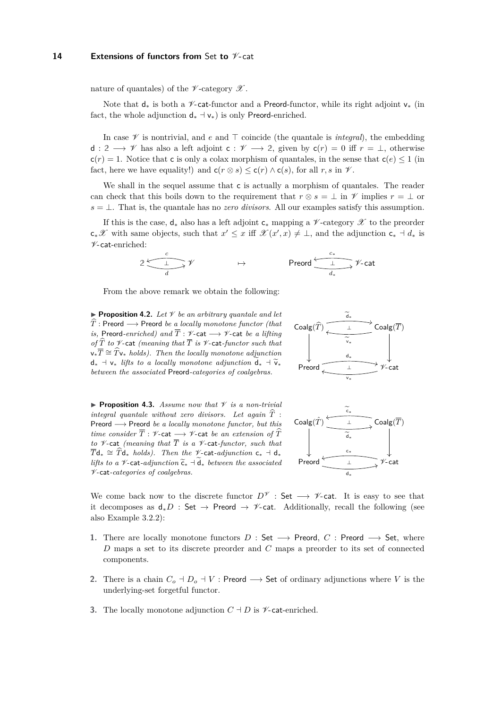## **14 Extensions of functors from** Set **to** V**-**cat

nature of quantales) of the  $\nu$ -category  $\mathscr X$ .

Note that  $d_*$  is both a  $\mathscr V$ -cat-functor and a Preord-functor, while its right adjoint  $v_*$  (in fact, the whole adjunction  $d_* \dashv v_*$ ) is only Preord-enriched.

In case  $\mathscr V$  is nontrivial, and *e* and  $\top$  coincide (the quantale is *integral*), the embedding d :  $2 \rightarrow \mathscr{V}$  has also a left adjoint  $c : \mathscr{V} \longrightarrow 2$ , given by  $c(r) = 0$  iff  $r = \perp$ , otherwise  $c(r) = 1$ . Notice that c is only a colax morphism of quantales, in the sense that  $c(e) \leq 1$  (in fact, here we have equality!) and  $c(r \otimes s) \leq c(r) \wedge c(s)$ , for all r, s in  $\mathcal V$ .

We shall in the sequel assume that c is actually a morphism of quantales. The reader can check that this boils down to the requirement that  $r \otimes s = \perp$  in  $\mathscr V$  implies  $r = \perp$  or  $s = \perp$ . That is, the quantale has no *zero divisors*. All our examples satisfy this assumption.

If this is the case,  $d_*$  also has a left adjoint  $c_*$  mapping a V-category  $\mathscr X$  to the preorder  $c_*\mathscr{X}$  with same objects, such that  $x' \leq x$  iff  $\mathscr{X}(x',x) \neq \bot$ , and the adjunction  $c_* \dashv d_*$  is V-cat-enriched:

$$
2\xrightarrow{\iota}\mathscr{V}\qquad\qquad\mapsto\qquad\qquad\text{Preord}\xrightarrow{\iota_*}\mathscr{V}\text{-}\mathrm{cat}
$$

From the above remark we obtain the following:

 $\blacktriangleright$  **Proposition 4.2.** Let  $\mathcal V$  be an arbitrary quantale and let  $\hat{T}$  : Preord  $\longrightarrow$  Preord *be a locally monotone functor (that is,* Preord-enriched) and  $\overline{T}$  :  $\nu$ -cat  $\rightarrow \nu$ -cat *be a lifting of*  $\widehat{T}$  *to*  $\mathscr V$ -cat *(meaning that*  $\overline{T}$  *is*  $\mathscr V$ -cat-functor such that  $v_*\overline{T} \cong \widehat{T}v_*$  *holds). Then the locally monotone adjunction*  $d_*$  +  $v_*$  *lifts to a locally monotone adjunction*  $\widetilde{d}_*$  +  $\widetilde{v}_*$ *between the associated* Preord*-categories of coalgebras.*

**Proposition 4.3.** *Assume now that*  $\mathcal V$  *is a non-trivial integral quantale without zero divisors. Let again*  $\hat{T}$ : Preord −→ Preord *be a locally monotone functor, but this time consider*  $\overline{T}$  :  $\mathcal V$ -cat  $\longrightarrow \mathcal V$ -cat *be an extension of*  $\widehat{T}$ *to*  $\n *V*$ -cat *(meaning that*  $\overline{T}$  *is a*  $\n *V*$ -cat*-functor, such that*  $\overline{T}d_* \cong \widehat{T}d_*$  *holds). Then the V*-cat-*adjunction*  $c_*$  +  $d_*$ *lifts to a*  $\mathcal V$ -cat-adjunction  $\widetilde{\mathsf{c}}_*$   $\neg$  **d**\* *between the associated* V*-*cat*-categories of coalgebras.*





We come back now to the discrete functor  $D^{\mathscr{V}}$  : Set  $\longrightarrow$  V-cat. It is easy to see that it decomposes as  $d_*D$  : Set → Preord →  $\mathscr V$ -cat. Additionally, recall the following (see also [Example 3.2.2\)](#page-5-1):

- **1.** There are locally monotone functors  $D : Set \longrightarrow$  Preord,  $C :$  Preord  $\longrightarrow$  Set, where *D* maps a set to its discrete preorder and *C* maps a preorder to its set of connected components.
- **2.** There is a chain  $C_o \dashv D_o \dashv V$ : Preord  $\longrightarrow$  Set of ordinary adjunctions where *V* is the underlying-set forgetful functor.
- **3.** The locally monotone adjunction  $C \dashv D$  is  $\mathscr V$ -cat-enriched.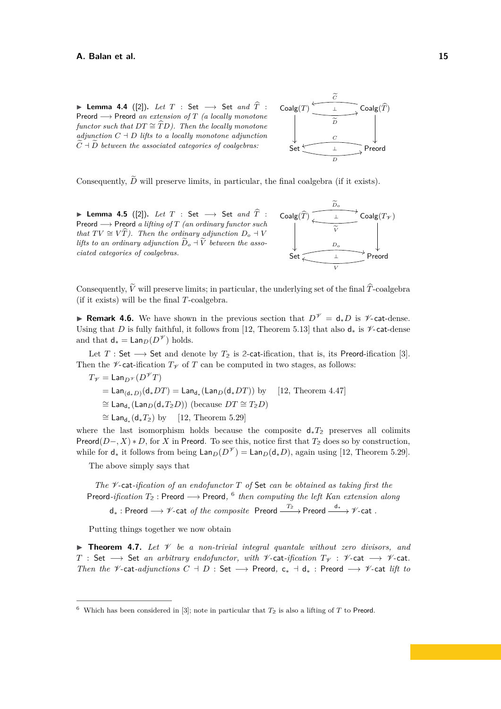**► Lemma 4.4** ([\[2\]](#page-16-21)). Let  $T$  : Set  $\longrightarrow$  Set and  $\widehat{T}$  : Preord −→ Preord *an extension of T (a locally monotone functor such that*  $DT \cong \widehat{T}D$ *). Then the locally monotone adjunction*  $C \doteq D$  *lifts to a locally monotone adjunction*  $\widetilde{C}$  +  $\widetilde{D}$  between the associated categories of coalgebras:



Consequently,  $\tilde{D}$  will preserve limits, in particular, the final coalgebra (if it exists).

<sup>I</sup> **Lemma 4.5** ([\[2\]](#page-16-21))**.** *Let <sup>T</sup>* : Set −→ Set *and <sup>T</sup>*<sup>b</sup> : Preord −→ Preord *a lifting of T (an ordinary functor such that*  $TV \cong V\hat{T}$ *). Then the ordinary adjunction*  $D_o \dashv V$ *lifts to an ordinary adjunction*  $\widetilde{D}_o + \widetilde{V}$  *between the associated categories of coalgebras.*



Consequently,  $\tilde{V}$  will preserve limits; in particular, the underlying set of the final  $\hat{T}$ -coalgebra (if it exists) will be the final *T*-coalgebra.

**Remark 4.6.** We have shown in the previous section that  $D^{\mathscr{V}} = d_*D$  is  $\mathscr{V}$ -cat-dense. Using that *D* is fully faithful, it follows from [\[12,](#page-16-6) Theorem 5.13] that also  $d_*$  is *Y*-cat-dense and that  $d_* = \text{Lan}_D(D^{\mathscr{V}})$  holds.

Let *T* : Set  $\longrightarrow$  Set and denote by  $T_2$  is 2-cat-ification, that is, its Preord-ification [\[3\]](#page-16-20). Then the  $\mathscr V$ -cat-ification  $T_{\mathscr V}$  of *T* can be computed in two stages, as follows:

$$
T_{\mathscr{V}} = \text{Lan}_{D^{\mathscr{V}}}(D^{\mathscr{V}}T)
$$
  
=  $\text{Lan}_{(\text{d}_{*}D)}(\text{d}_{*}DT) = \text{Lan}_{\text{d}_{*}}(\text{Lan}_{D}(\text{d}_{*}DT))$  by [12, Theorem 4.47]  
 $\cong \text{Lan}_{\text{d}_{*}}(\text{Lan}_{D}(\text{d}_{*}T_{2}D))$  (because  $DT \cong T_{2}D$ )  
 $\cong \text{Lan}_{\text{d}_{*}}(\text{d}_{*}T_{2})$  by [12, Theorem 5.29]

where the last isomorphism holds because the composite  $d_*T_2$  preserves all colimits Preord(*D*−*, X*) ∗ *D*, for *X* in Preord. To see this, notice first that *T***<sup>2</sup>** does so by construction, while for  $d_*$  it follows from being  $\textsf{Lan}_D(D^{\mathscr{V}}) = \textsf{Lan}_D(d_*D)$ , again using [\[12,](#page-16-6) Theorem 5.29].

The above simply says that

*The* V*-*cat*-ification of an endofunctor T of* Set *can be obtained as taking first the* Preord*-ification T***<sup>2</sup>** : Preord −→ Preord*,* [6](#page-14-0) *then computing the left Kan extension along*  $d_*$  : Preord  $\longrightarrow$  <sup>γ</sup>∕-cat *of the composite* Preord  $\xrightarrow{T_2}$  Preord  $\xrightarrow{d_*}$  γ⁄-cat *.* 

Putting things together we now obtain

**Findmergeries 1.7.** Let  $\mathcal V$  be a non-trivial integral quantale without zero divisors, and *T* : Set → Set *an arbitrary endofunctor, with V*-cat-*ification*  $T_V$  : *V*-cat → *V*-cat. *Then the*  $\mathscr V$ -cat-*adjunctions*  $C + D$  : Set  $\longrightarrow$  Preord,  $c_* + d_*$  : Preord  $\longrightarrow \mathscr V$ -cat *lift to* 

<span id="page-14-0"></span><sup>&</sup>lt;sup>6</sup> Which has been considered in [\[3\]](#page-16-20); note in particular that  $T_2$  is also a lifting of *T* to Preord.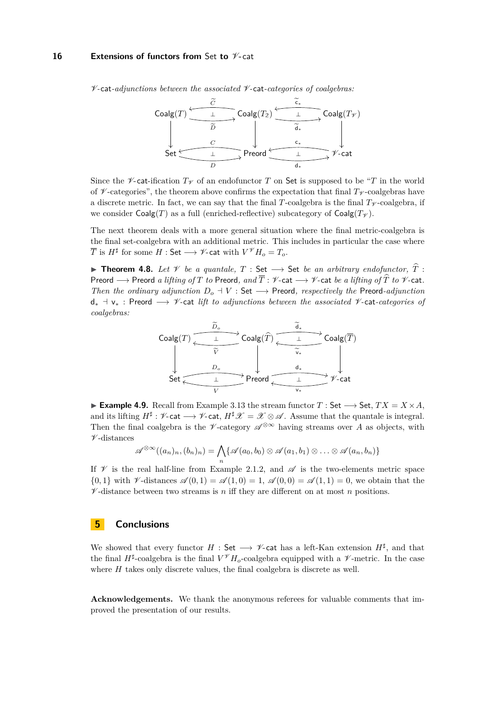#### **16 Extensions of functors from** Set **to** V**-**cat

V*-*cat*-adjunctions between the associated* V*-*cat*-categories of coalgebras:*



Since the *V*-cat-ification  $T_V$  of an endofunctor *T* on Set is supposed to be "*T* in the world of  $\mathcal V$ -categories", the theorem above confirms the expectation that final  $T_{\mathcal V}$ -coalgebras have a discrete metric. In fact, we can say that the final *T*-coalgebra is the final  $T_V$ -coalgebra, if we consider  $\text{Coalg}(T)$  as a full (enriched-reflective) subcategory of  $\text{Coalg}(T_V)$ .

The next theorem deals with a more general situation where the final metric-coalgebra is the final set-coalgebra with an additional metric. This includes in particular the case where  $\overline{T}$  is  $H^{\sharp}$  for some  $H:$  Set  $\longrightarrow$   $\mathscr V$ -cat with  $V^{\mathscr V}H_o=T_o.$ 

<sup>I</sup> **Theorem 4.8.** *Let* <sup>V</sup> *be a quantale, <sup>T</sup>* : Set −→ Set *be an arbitrary endofunctor, <sup>T</sup>*<sup>b</sup> : Preord  $\longrightarrow$  Preord *a lifting of*  $T$  *to* Preord, and  $\overline{T}$  :  $\nvee$ -cat  $\longrightarrow$   $\nvee$ -cat *be a lifting of*  $\hat{T}$  *to*  $\nvee$ -cat. *Then the ordinary adjunction*  $D_o + V$  : Set  $\longrightarrow$  Preord, respectively the Preord-adjunction d<sup>∗</sup> a v<sup>∗</sup> : Preord −→ V*-*cat *lift to adjunctions between the associated* V*-*cat*-categories of coalgebras:*



**Example 4.9.** Recall from Example [3.13](#page-11-1) the stream functor *T* : Set  $\rightarrow$  Set, *TX* = *X* × *A*, and its lifting  $H^{\sharp}: \mathscr{V}$ -cat  $\longrightarrow \mathscr{V}$ -cat,  $H^{\sharp} \mathscr{X} = \mathscr{X} \otimes \mathscr{A}$ . Assume that the quantale is integral. Then the final coalgebra is the  $\mathscr V$ -category  $\mathscr A^{\otimes \infty}$  having streams over A as objects, with  $\nu$ -distances

$$
\mathscr{A}^{\otimes \infty}((a_n)_n,(b_n)_n)=\bigwedge_n\{\mathscr{A}(a_0,b_0)\otimes \mathscr{A}(a_1,b_1)\otimes\ldots\otimes \mathscr{A}(a_n,b_n)\}\
$$

If  $\mathscr V$  is the real half-line from [Example 2.1.2,](#page-2-1) and  $\mathscr A$  is the two-elements metric space  $\{0,1\}$  with V-distances  $\mathscr{A}(0,1) = \mathscr{A}(1,0) = 1$ ,  $\mathscr{A}(0,0) = \mathscr{A}(1,1) = 0$ , we obtain that the  $\nu$ -distance between two streams is *n* iff they are different on at most *n* positions.

## **5 Conclusions**

We showed that every functor  $H : Set \longrightarrow \mathscr{V}$ -cat has a left-Kan extension  $H^{\sharp}$ , and that the final  $H^{\sharp}$ -coalgebra is the final  $V^{\mathscr{V}}H_o$ -coalgebra equipped with a  $\mathscr{V}$ -metric. In the case where *H* takes only discrete values, the final coalgebra is discrete as well.

**Acknowledgements.** We thank the anonymous referees for valuable comments that improved the presentation of our results.